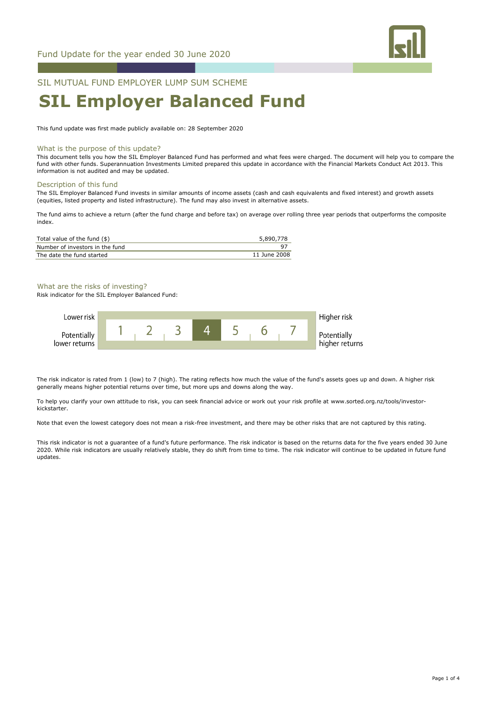

# SIL MUTUAL FUND EMPLOYER LUMP SUM SCHEME

# **SIL Employer Balanced Fund**

This fund update was first made publicly available on: 28 September 2020

#### What is the purpose of this update?

This document tells you how the SIL Employer Balanced Fund has performed and what fees were charged. The document will help you to compare the fund with other funds. Superannuation Investments Limited prepared this update in accordance with the Financial Markets Conduct Act 2013. This information is not audited and may be updated.

#### Description of this fund

The SIL Employer Balanced Fund invests in similar amounts of income assets (cash and cash equivalents and fixed interest) and growth assets (equities, listed property and listed infrastructure). The fund may also invest in alternative assets.

The fund aims to achieve a return (after the fund charge and before tax) on average over rolling three year periods that outperforms the composite index.

| Total value of the fund (\$)    | 5,890,778    |
|---------------------------------|--------------|
| Number of investors in the fund |              |
| The date the fund started       | 11 June 2008 |

# What are the risks of investing?

Risk indicator for the SIL Employer Balanced Fund:



The risk indicator is rated from 1 (low) to 7 (high). The rating reflects how much the value of the fund's assets goes up and down. A higher risk generally means higher potential returns over time, but more ups and downs along the way.

To help you clarify your own attitude to risk, you can seek financial advice or work out your risk profile at www.sorted.org.nz/tools/investorkickstarter.

Note that even the lowest category does not mean a risk-free investment, and there may be other risks that are not captured by this rating.

This risk indicator is not a guarantee of a fund's future performance. The risk indicator is based on the returns data for the five years ended 30 June 2020. While risk indicators are usually relatively stable, they do shift from time to time. The risk indicator will continue to be updated in future fund updates.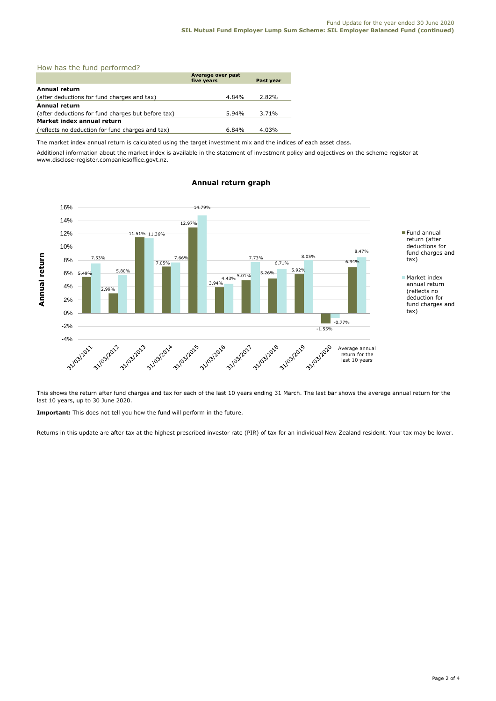| How has the fund performed? |  |  |  |
|-----------------------------|--|--|--|
|-----------------------------|--|--|--|

|                                                    | Average over past<br>five years |       |
|----------------------------------------------------|---------------------------------|-------|
| Annual return                                      |                                 |       |
| (after deductions for fund charges and tax)        | 4.84%                           | 2.82% |
| Annual return                                      |                                 |       |
| (after deductions for fund charges but before tax) | 5.94%                           | 3.71% |
| Market index annual return                         |                                 |       |
| (reflects no deduction for fund charges and tax)   | 6.84%                           | 4.03% |

The market index annual return is calculated using the target investment mix and the indices of each asset class.

Additional information about the market index is available in the statement of investment policy and objectives on the scheme register at www.disclose-register.companiesoffice.govt.nz.



# **Annual return graph**

This shows the return after fund charges and tax for each of the last 10 years ending 31 March. The last bar shows the average annual return for the last 10 years, up to 30 June 2020.

**Important:** This does not tell you how the fund will perform in the future.

Returns in this update are after tax at the highest prescribed investor rate (PIR) of tax for an individual New Zealand resident. Your tax may be lower.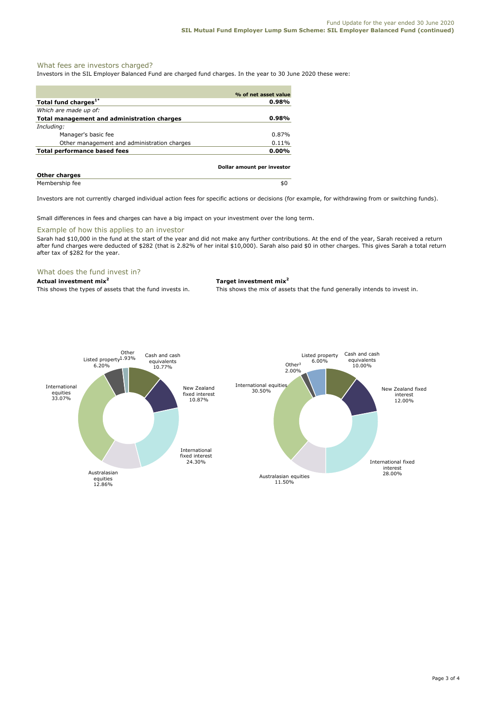### What fees are investors charged?

Investors in the SIL Employer Balanced Fund are charged fund charges. In the year to 30 June 2020 these were:

|                                             | % of net asset value       |
|---------------------------------------------|----------------------------|
| Total fund charges <sup>1*</sup>            | 0.98%                      |
| Which are made up of:                       |                            |
| Total management and administration charges | $0.98\%$                   |
| Including:                                  |                            |
| Manager's basic fee                         | $0.87\%$                   |
| Other management and administration charges | $0.11\%$                   |
| Total performance based fees                | $0.00\%$                   |
|                                             | Dollar amount per investor |
| Attended to the second state                |                            |

Investors are not currently charged individual action fees for specific actions or decisions (for example, for withdrawing from or switching funds).

Small differences in fees and charges can have a big impact on your investment over the long term.

#### Example of how this applies to an investor

Sarah had \$10,000 in the fund at the start of the year and did not make any further contributions. At the end of the year, Sarah received a return after fund charges were deducted of \$282 (that is 2.82% of her inital \$10,000). Sarah also paid \$0 in other charges. This gives Sarah a total return after tax of \$282 for the year.

# What does the fund invest in?

#### **Actual investment mix<sup>2</sup> Target investment mix<sup>2</sup>**

This shows the types of assets that the fund invests in. This shows the mix of assets that the fund generally intends to invest in.